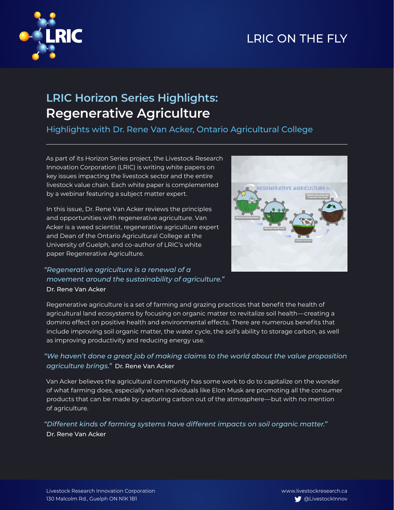# LRIC ON THE FLY



## **LRIC Horizon Series Highlights: Regenerative Agriculture**

Highlights with Dr. Rene Van Acker, Ontario Agricultural College

As part of its Horizon Series project, the Livestock Research Innovation Corporation (LRIC) is writing white papers on key issues impacting the livestock sector and the entire livestock value chain. Each white paper is complemented by a webinar featuring a subject matter expert.

In this issue, Dr. Rene Van Acker reviews the principles and opportunities with regenerative agriculture. Van Acker is a weed scientist, regenerative agriculture expert and Dean of the Ontario Agricultural College at the University of Guelph, and co-author of LRIC's white paper Regenerative Agriculture.



### *"Regenerative agriculture is a renewal of a movement around the sustainability of agriculture."* Dr. Rene Van Acker

Regenerative agriculture is a set of farming and grazing practices that benefit the health of agricultural land ecosystems by focusing on organic matter to revitalize soil health—creating a domino effect on positive health and environmental effects. There are numerous benefits that include improving soil organic matter, the water cycle, the soil's ability to storage carbon, as well as improving productivity and reducing energy use.

## *"We haven't done a great job of making claims to the world about the value proposition agriculture brings."* Dr. Rene Van Acker

Van Acker believes the agricultural community has some work to do to capitalize on the wonder of what farming does, especially when individuals like Elon Musk are promoting all the consumer products that can be made by capturing carbon out of the atmosphere—but with no mention of agriculture.

### *"Different kinds of farming systems have different impacts on soil organic matter."* Dr. Rene Van Acker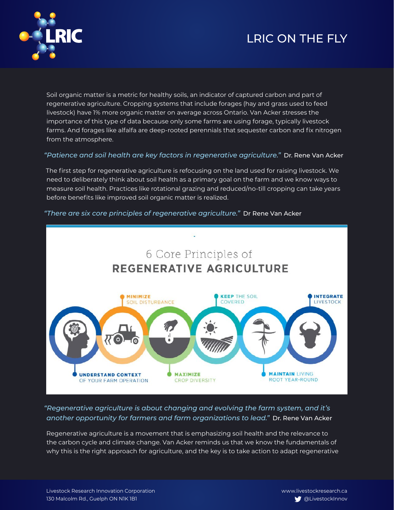## LRIC ON THE FLY



Soil organic matter is a metric for healthy soils, an indicator of captured carbon and part of regenerative agriculture. Cropping systems that include forages (hay and grass used to feed livestock) have 1% more organic matter on average across Ontario. Van Acker stresses the importance of this type of data because only some farms are using forage, typically livestock farms. And forages like alfalfa are deep-rooted perennials that sequester carbon and fix nitrogen from the atmosphere.

#### *"Patience and soil health are key factors in regenerative agriculture."* Dr. Rene Van Acker

The first step for regenerative agriculture is refocusing on the land used for raising livestock. We need to deliberately think about soil health as a primary goal on the farm and we know ways to measure soil health. Practices like rotational grazing and reduced/no-till cropping can take years before benefits like improved soil organic matter is realized.

#### *"There are six core principles of regenerative agriculture."* Dr Rene Van Acker



### *"Regenerative agriculture is about changing and evolving the farm system, and it's another opportunity for farmers and farm organizations to lead."* Dr. Rene Van Acker

Regenerative agriculture is a movement that is emphasizing soil health and the relevance to the carbon cycle and climate change. Van Acker reminds us that we know the fundamentals of why this is the right approach for agriculture, and the key is to take action to adapt regenerative